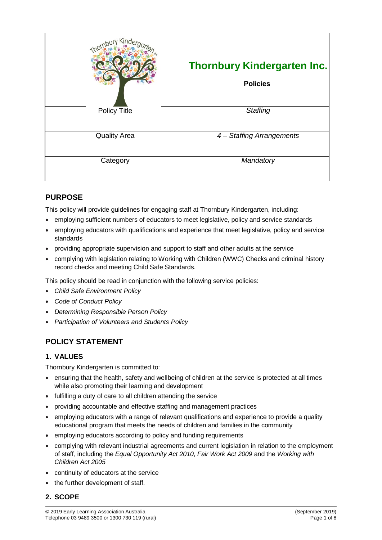| nbury Kinder        | <b>Thornbury Kindergarten Inc.</b><br><b>Policies</b> |
|---------------------|-------------------------------------------------------|
| <b>Policy Title</b> | Staffing                                              |
| <b>Quality Area</b> | 4 - Staffing Arrangements                             |
| Category            | Mandatory                                             |

# **PURPOSE**

This policy will provide guidelines for engaging staff at Thornbury Kindergarten, including:

- employing sufficient numbers of educators to meet legislative, policy and service standards
- employing educators with qualifications and experience that meet legislative, policy and service standards
- providing appropriate supervision and support to staff and other adults at the service
- complying with legislation relating to Working with Children (WWC) Checks and criminal history record checks and meeting Child Safe Standards.

This policy should be read in conjunction with the following service policies:

- *Child Safe Environment Policy*
- *Code of Conduct Policy*
- *Determining Responsible Person Policy*
- *Participation of Volunteers and Students Policy*

# **POLICY STATEMENT**

### **1. VALUES**

Thornbury Kindergarten is committed to:

- ensuring that the health, safety and wellbeing of children at the service is protected at all times while also promoting their learning and development
- fulfilling a duty of care to all children attending the service
- providing accountable and effective staffing and management practices
- employing educators with a range of relevant qualifications and experience to provide a quality educational program that meets the needs of children and families in the community
- employing educators according to policy and funding requirements
- complying with relevant industrial agreements and current legislation in relation to the employment of staff, including the *Equal Opportunity Act 2010*, *Fair Work Act 2009* and the *Working with Children Act 2005*
- continuity of educators at the service
- the further development of staff*.*

## **2. SCOPE**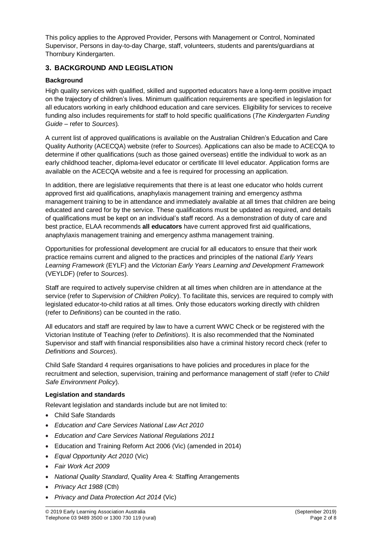This policy applies to the Approved Provider, Persons with Management or Control, Nominated Supervisor, Persons in day-to-day Charge, staff, volunteers, students and parents/guardians at Thornbury Kindergarten.

### **3. BACKGROUND AND LEGISLATION**

### **Background**

High quality services with qualified, skilled and supported educators have a long-term positive impact on the trajectory of children's lives. Minimum qualification requirements are specified in legislation for all educators working in early childhood education and care services. Eligibility for services to receive funding also includes requirements for staff to hold specific qualifications (*The Kindergarten Funding Guide –* refer to *Sources*)*.*

A current list of approved qualifications is available on the Australian Children's Education and Care Quality Authority (ACECQA) website (refer to *Sources*). Applications can also be made to ACECQA to determine if other qualifications (such as those gained overseas) entitle the individual to work as an early childhood teacher, diploma-level educator or certificate III level educator. Application forms are available on the ACECQA website and a fee is required for processing an application.

In addition, there are legislative requirements that there is at least one educator who holds current approved first aid qualifications, anaphylaxis management training and emergency asthma management training to be in attendance and immediately available at all times that children are being educated and cared for by the service. These qualifications must be updated as required, and details of qualifications must be kept on an individual's staff record. As a demonstration of duty of care and best practice, ELAA recommends **all educators** have current approved first aid qualifications, anaphylaxis management training and emergency asthma management training.

Opportunities for professional development are crucial for all educators to ensure that their work practice remains current and aligned to the practices and principles of the national *Early Years Learning Framework* (EYLF) and the *Victorian Early Years Learning and Development Framework* (VEYLDF) (refer to *Sources*).

Staff are required to actively supervise children at all times when children are in attendance at the service (refer to *Supervision of Children Policy*). To facilitate this, services are required to comply with legislated educator-to-child ratios at all times. Only those educators working directly with children (refer to *Definitions*) can be counted in the ratio.

All educators and staff are required by law to have a current WWC Check or be registered with the Victorian Institute of Teaching (refer to *Definitions*). It is also recommended that the Nominated Supervisor and staff with financial responsibilities also have a criminal history record check (refer to *Definitions* and *Sources*).

Child Safe Standard 4 requires organisations to have policies and procedures in place for the recruitment and selection, supervision, training and performance management of staff (refer to *Child Safe Environment Policy*).

#### **Legislation and standards**

Relevant legislation and standards include but are not limited to:

- Child Safe Standards
- *Education and Care Services National Law Act 2010*
- *Education and Care Services National Regulations 2011*
- Education and Training Reform Act 2006 (Vic) (amended in 2014)
- *Equal Opportunity Act 2010* (Vic)
- *Fair Work Act 2009*
- *National Quality Standard*, Quality Area 4: Staffing Arrangements
- *Privacy Act 1988* (Cth)
- *Privacy and Data Protection Act 2014* (Vic)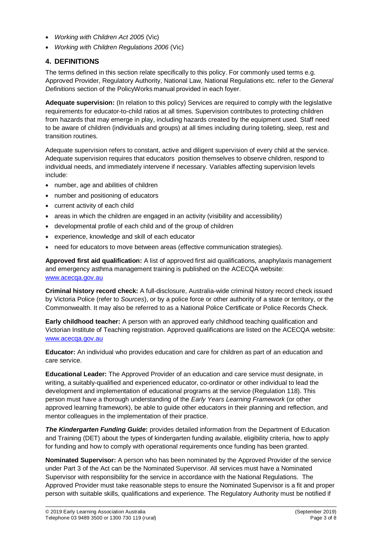- *Working with Children Act 2005* (Vic)
- *Working with Children Regulations 2006* (Vic)

## **4. DEFINITIONS**

The terms defined in this section relate specifically to this policy. For commonly used terms e.g. Approved Provider, Regulatory Authority, National Law, National Regulations etc. refer to the *General Definitions* section of the PolicyWorks manual provided in each foyer.

**Adequate supervision:** (In relation to this policy) Services are required to comply with the legislative requirements for educator-to-child ratios at all times. Supervision contributes to protecting children from hazards that may emerge in play, including hazards created by the equipment used. Staff need to be aware of children (individuals and groups) at all times including during toileting, sleep, rest and transition routines.

Adequate supervision refers to constant, active and diligent supervision of every child at the service. Adequate supervision requires that educators position themselves to observe children, respond to individual needs, and immediately intervene if necessary. Variables affecting supervision levels include:

- number, age and abilities of children
- number and positioning of educators
- current activity of each child
- areas in which the children are engaged in an activity (visibility and accessibility)
- developmental profile of each child and of the group of children
- experience, knowledge and skill of each educator
- need for educators to move between areas (effective communication strategies).

**Approved first aid qualification:** A list of approved first aid qualifications, anaphylaxis management and emergency asthma management training is published on the ACECQA website: [www.acecqa.gov.au](http://www.acecqa.gov.au/)

**Criminal history record check:** A full-disclosure, Australia-wide criminal history record check issued by Victoria Police (refer to *Sources*), or by a police force or other authority of a state or territory, or the Commonwealth. It may also be referred to as a National Police Certificate or Police Records Check.

**Early childhood teacher:** A person with an approved early childhood teaching qualification and Victorian Institute of Teaching registration. Approved qualifications are listed on the ACECQA website: [www.acecqa.gov.au](http://www.acecqa.gov.au/)

**Educator:** An individual who provides education and care for children as part of an education and care service.

**Educational Leader:** The Approved Provider of an education and care service must designate, in writing, a suitably-qualified and experienced educator, co-ordinator or other individual to lead the development and implementation of educational programs at the service (Regulation 118). This person must have a thorough understanding of the *Early Years Learning Framework* (or other approved learning framework), be able to guide other educators in their planning and reflection, and mentor colleagues in the implementation of their practice.

*The Kindergarten Funding Guide***:** provides detailed information from the Department of Education and Training (DET) about the types of kindergarten funding available, eligibility criteria, how to apply for funding and how to comply with operational requirements once funding has been granted.

**Nominated Supervisor:** A person who has been nominated by the Approved Provider of the service under Part 3 of the Act can be the Nominated Supervisor. All services must have a Nominated Supervisor with responsibility for the service in accordance with the National Regulations. The Approved Provider must take reasonable steps to ensure the Nominated Supervisor is a fit and proper person with suitable skills, qualifications and experience. The Regulatory Authority must be notified if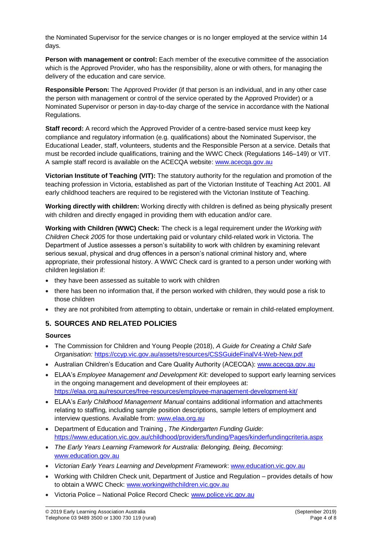the Nominated Supervisor for the service changes or is no longer employed at the service within 14 days.

**Person with management or control:** Each member of the executive committee of the association which is the Approved Provider, who has the responsibility, alone or with others, for managing the delivery of the education and care service.

**Responsible Person:** The Approved Provider (if that person is an individual, and in any other case the person with management or control of the service operated by the Approved Provider) or a Nominated Supervisor or person in day-to-day charge of the service in accordance with the National Regulations.

**Staff record:** A record which the Approved Provider of a centre-based service must keep key compliance and regulatory information (e.g. qualifications) about the Nominated Supervisor, the Educational Leader, staff, volunteers, students and the Responsible Person at a service. Details that must be recorded include qualifications, training and the WWC Check (Regulations 146–149) or VIT. A sample staff record is available on the ACECQA website: [www.acecqa.gov.au](http://www.acecqa.gov.au/)

**Victorian Institute of Teaching (VIT):** The statutory authority for the regulation and promotion of the teaching profession in Victoria, established as part of the Victorian Institute of Teaching Act 2001. All early childhood teachers are required to be registered with the Victorian Institute of Teaching.

**Working directly with children:** Working directly with children is defined as being physically present with children and directly engaged in providing them with education and/or care.

**Working with Children (WWC) Check:** The check is a legal requirement under the *Working with Children Check 2005* for those undertaking paid or voluntary child-related work in Victoria. The Department of Justice assesses a person's suitability to work with children by examining relevant serious sexual, physical and drug offences in a person's national criminal history and, where appropriate, their professional history. A WWC Check card is granted to a person under working with children legislation if:

- they have been assessed as suitable to work with children
- there has been no information that, if the person worked with children, they would pose a risk to those children
- they are not prohibited from attempting to obtain, undertake or remain in child-related employment.

### **5. SOURCES AND RELATED POLICIES**

#### **Sources**

- The Commission for Children and Young People (2018), *A Guide for Creating a Child Safe Organisation:* <https://ccyp.vic.gov.au/assets/resources/CSSGuideFinalV4-Web-New.pdf>
- Australian Children's Education and Care Quality Authority (ACECQA): [www.acecqa.gov.au](http://www.acecqa.gov.au/)
- ELAA's *Employee Management and Development Kit:* developed to support early learning services in the ongoing management and development of their employees at: <https://elaa.org.au/resources/free-resources/employee-management-development-kit/>
- ELAA's *Early Childhood Management Manual* contains additional information and attachments relating to staffing, including sample position descriptions, sample letters of employment and interview questions. Available from: [www.elaa.org.au](http://www.elaa.org.au/)
- Department of Education and Training , *The Kindergarten Funding Guide*: <https://www.education.vic.gov.au/childhood/providers/funding/Pages/kinderfundingcriteria.aspx>
- *The Early Years Learning Framework for Australia: Belonging, Being, Becoming*: [www.education.gov.au](http://www.education.gov.au/)
- *Victorian Early Years Learning and Development Framework*: [www.education.vic.gov.au](http://www.education.vic.gov.au/Pages/default.aspx)
- Working with Children Check unit, Department of Justice and Regulation provides details of how to obtain a WWC Check: [www.workingwithchildren.vic.gov.au](http://www.workingwithchildren.vic.gov.au/)
- Victoria Police National Police Record Check: [www.police.vic.gov.au](http://www.police.vic.gov.au/)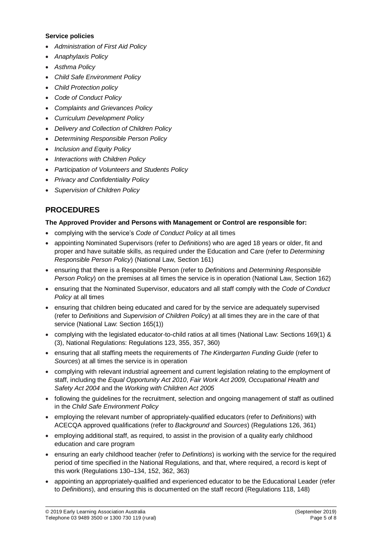#### **Service policies**

- *Administration of First Aid Policy*
- *Anaphylaxis Policy*
- *Asthma Policy*
- *Child Safe Environment Policy*
- *Child Protection policy*
- *Code of Conduct Policy*
- *Complaints and Grievances Policy*
- *Curriculum Development Policy*
- *Delivery and Collection of Children Policy*
- *Determining Responsible Person Policy*
- *Inclusion and Equity Policy*
- *Interactions with Children Policy*
- *Participation of Volunteers and Students Policy*
- *Privacy and Confidentiality Policy*
- *Supervision of Children Policy*

# **PROCEDURES**

### **The Approved Provider and Persons with Management or Control are responsible for:**

- complying with the service's *Code of Conduct Policy* at all times
- appointing Nominated Supervisors (refer to *Definitions*) who are aged 18 years or older, fit and proper and have suitable skills, as required under the Education and Care (refer to *Determining Responsible Person Policy*) (National Law, Section 161)
- ensuring that there is a Responsible Person (refer to *Definitions* and *Determining Responsible Person Policy*) on the premises at all times the service is in operation (National Law, Section 162)
- ensuring that the Nominated Supervisor, educators and all staff comply with the *Code of Conduct Policy* at all times
- ensuring that children being educated and cared for by the service are adequately supervised (refer to *Definitions* and *Supervision of Children Policy*) at all times they are in the care of that service (National Law: Section 165(1))
- complying with the legislated educator-to-child ratios at all times (National Law: Sections 169(1) & (3), National Regulations: Regulations 123, 355, 357, 360)
- ensuring that all staffing meets the requirements of *The Kindergarten Funding Guide* (refer to *Sources*) at all times the service is in operation
- complying with relevant industrial agreement and current legislation relating to the employment of staff, including the *Equal Opportunity Act 2010*, *Fair Work Act 2009, Occupational Health and Safety Act 2004* and the *Working with Children Act 2005*
- following the guidelines for the recruitment, selection and ongoing management of staff as outlined in the *Child Safe Environment Policy*
- employing the relevant number of appropriately-qualified educators (refer to *Definitions*) with ACECQA approved qualifications (refer to *Background* and *Sources*) (Regulations 126, 361)
- employing additional staff, as required, to assist in the provision of a quality early childhood education and care program
- ensuring an early childhood teacher (refer to *Definitions*) is working with the service for the required period of time specified in the National Regulations, and that, where required, a record is kept of this work (Regulations 130–134, 152, 362, 363)
- appointing an appropriately-qualified and experienced educator to be the Educational Leader (refer to *Definitions*), and ensuring this is documented on the staff record (Regulations 118, 148)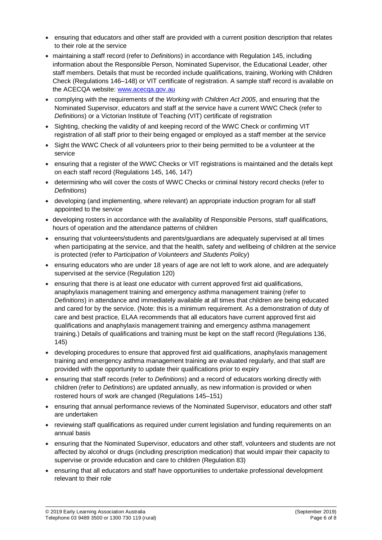- ensuring that educators and other staff are provided with a current position description that relates to their role at the service
- maintaining a staff record (refer to *Definitions*) in accordance with Regulation 145, including information about the Responsible Person, Nominated Supervisor, the Educational Leader, other staff members. Details that must be recorded include qualifications, training, Working with Children Check (Regulations 146–148) or VIT certificate of registration. A sample staff record is available on the ACECQA website: [www.acecqa.gov.au](http://www.acecqa.gov.au/)
- complying with the requirements of the *Working with Children Act 2005*, and ensuring that the Nominated Supervisor, educators and staff at the service have a current WWC Check (refer to *Definitions*) or a Victorian Institute of Teaching (VIT) certificate of registration
- Sighting, checking the validity of and keeping record of the WWC Check or confirming VIT registration of all staff prior to their being engaged or employed as a staff member at the service
- Sight the WWC Check of all volunteers prior to their being permitted to be a volunteer at the service
- ensuring that a register of the WWC Checks or VIT registrations is maintained and the details kept on each staff record (Regulations 145, 146, 147)
- determining who will cover the costs of WWC Checks or criminal history record checks (refer to *Definitions*)
- developing (and implementing, where relevant) an appropriate induction program for all staff appointed to the service
- developing rosters in accordance with the availability of Responsible Persons, staff qualifications, hours of operation and the attendance patterns of children
- ensuring that volunteers/students and parents/guardians are adequately supervised at all times when participating at the service, and that the health, safety and wellbeing of children at the service is protected (refer to *Participation of Volunteers and Students Policy*)
- ensuring educators who are under 18 years of age are not left to work alone, and are adequately supervised at the service (Regulation 120)
- ensuring that there is at least one educator with current approved first aid qualifications, anaphylaxis management training and emergency asthma management training (refer to *Definitions*) in attendance and immediately available at all times that children are being educated and cared for by the service. (Note: this is a minimum requirement. As a demonstration of duty of care and best practice, ELAA recommends that all educators have current approved first aid qualifications and anaphylaxis management training and emergency asthma management training.) Details of qualifications and training must be kept on the staff record (Regulations 136, 145)
- developing procedures to ensure that approved first aid qualifications, anaphylaxis management training and emergency asthma management training are evaluated regularly, and that staff are provided with the opportunity to update their qualifications prior to expiry
- ensuring that staff records (refer to *Definitions*) and a record of educators working directly with children (refer to *Definitions*) are updated annually, as new information is provided or when rostered hours of work are changed (Regulations 145–151)
- ensuring that annual performance reviews of the Nominated Supervisor, educators and other staff are undertaken
- reviewing staff qualifications as required under current legislation and funding requirements on an annual basis
- ensuring that the Nominated Supervisor, educators and other staff, volunteers and students are not affected by alcohol or drugs (including prescription medication) that would impair their capacity to supervise or provide education and care to children (Regulation 83)
- ensuring that all educators and staff have opportunities to undertake professional development relevant to their role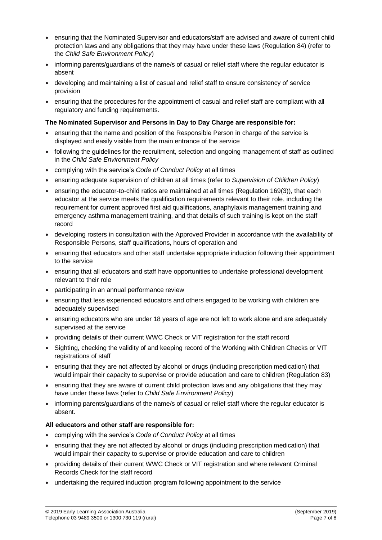- ensuring that the Nominated Supervisor and educators/staff are advised and aware of current child protection laws and any obligations that they may have under these laws (Regulation 84) (refer to the *Child Safe Environment Policy*)
- informing parents/guardians of the name/s of casual or relief staff where the regular educator is absent
- developing and maintaining a list of casual and relief staff to ensure consistency of service provision
- ensuring that the procedures for the appointment of casual and relief staff are compliant with all regulatory and funding requirements.

#### **The Nominated Supervisor and Persons in Day to Day Charge are responsible for:**

- ensuring that the name and position of the Responsible Person in charge of the service is displayed and easily visible from the main entrance of the service
- following the guidelines for the recruitment, selection and ongoing management of staff as outlined in the *Child Safe Environment Policy*
- complying with the service's *Code of Conduct Policy* at all times
- ensuring adequate supervision of children at all times (refer to *Supervision of Children Policy*)
- ensuring the educator-to-child ratios are maintained at all times (Regulation 169(3)), that each educator at the service meets the qualification requirements relevant to their role, including the requirement for current approved first aid qualifications, anaphylaxis management training and emergency asthma management training, and that details of such training is kept on the staff record
- developing rosters in consultation with the Approved Provider in accordance with the availability of Responsible Persons, staff qualifications, hours of operation and
- ensuring that educators and other staff undertake appropriate induction following their appointment to the service
- ensuring that all educators and staff have opportunities to undertake professional development relevant to their role
- participating in an annual performance review
- ensuring that less experienced educators and others engaged to be working with children are adequately supervised
- ensuring educators who are under 18 years of age are not left to work alone and are adequately supervised at the service
- providing details of their current WWC Check or VIT registration for the staff record
- Sighting, checking the validity of and keeping record of the Working with Children Checks or VIT registrations of staff
- ensuring that they are not affected by alcohol or drugs (including prescription medication) that would impair their capacity to supervise or provide education and care to children (Regulation 83)
- ensuring that they are aware of current child protection laws and any obligations that they may have under these laws (refer to *Child Safe Environment Policy*)
- informing parents/guardians of the name/s of casual or relief staff where the regular educator is absent.

#### **All educators and other staff are responsible for:**

- complying with the service's *Code of Conduct Policy* at all times
- ensuring that they are not affected by alcohol or drugs (including prescription medication) that would impair their capacity to supervise or provide education and care to children
- providing details of their current WWC Check or VIT registration and where relevant Criminal Records Check for the staff record
- undertaking the required induction program following appointment to the service